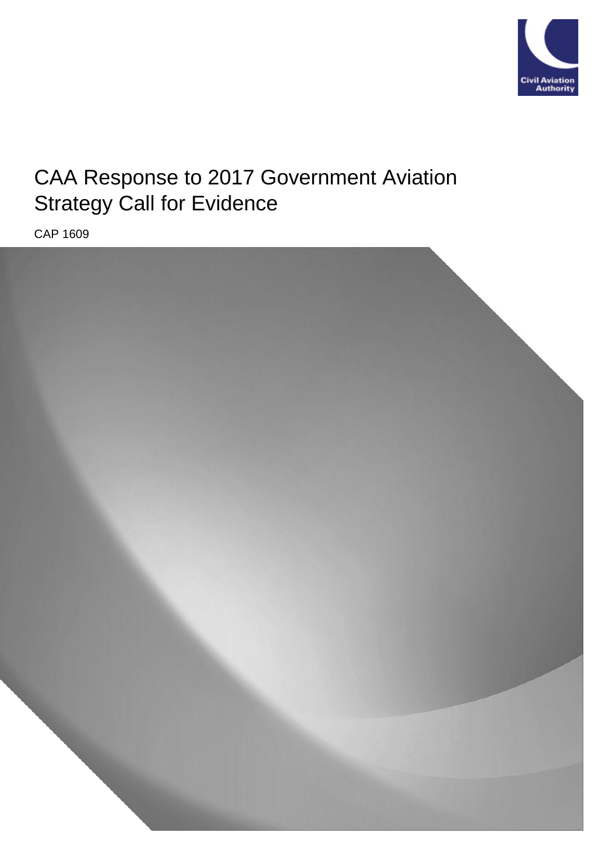

# CAA Response to 2017 Government Aviation Strategy Call for Evidence

CAP 1609

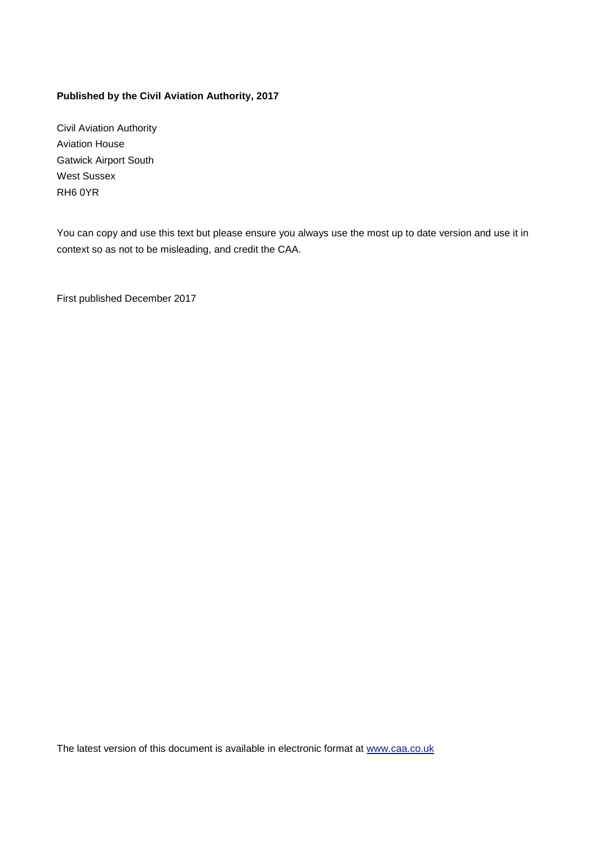#### **Published by the Civil Aviation Authority, 2017**

Civil Aviation Authority Aviation House Gatwick Airport South West Sussex RH6 0YR

You can copy and use this text but please ensure you always use the most up to date version and use it in context so as not to be misleading, and credit the CAA.

First published December 2017

The latest version of this document is available in electronic format at [www.caa.co.uk](http://www.caa.co.uk/)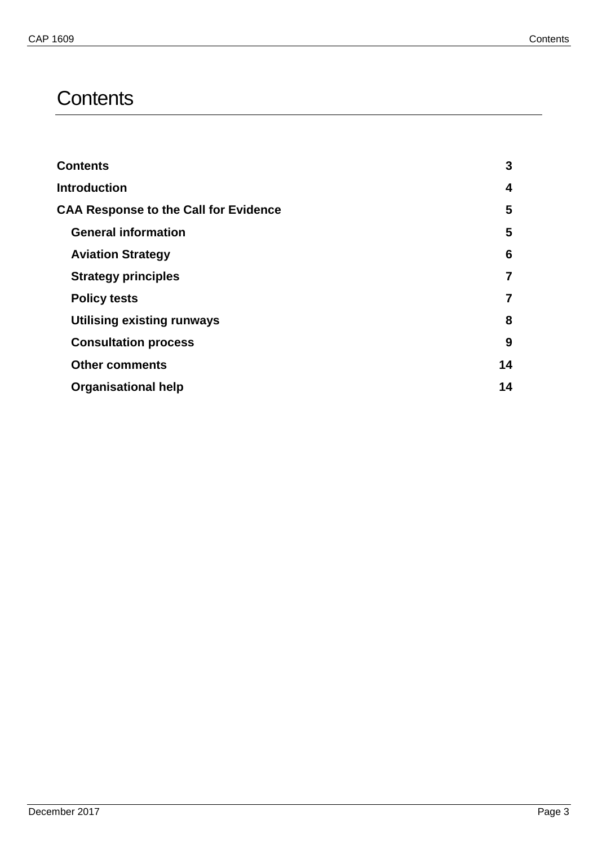## <span id="page-2-0"></span>**Contents**

| <b>Contents</b>                              | 3              |
|----------------------------------------------|----------------|
| <b>Introduction</b>                          | 4              |
| <b>CAA Response to the Call for Evidence</b> | 5              |
| <b>General information</b>                   | 5              |
| <b>Aviation Strategy</b>                     | 6              |
| <b>Strategy principles</b>                   | 7              |
| <b>Policy tests</b>                          | $\overline{7}$ |
| <b>Utilising existing runways</b>            | 8              |
| <b>Consultation process</b>                  | 9              |
| <b>Other comments</b>                        | 14             |
| <b>Organisational help</b>                   | 14             |
|                                              |                |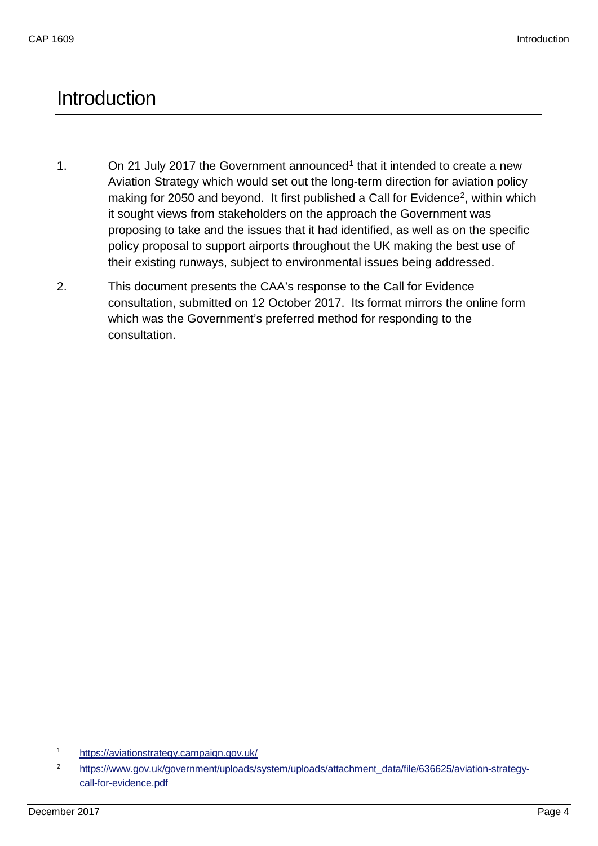## <span id="page-3-0"></span>**Introduction**

- [1](#page-3-1). On 21 July 2017 the Government announced<sup>1</sup> that it intended to create a new Aviation Strategy which would set out the long-term direction for aviation policy making for 2050 and beyond. It first published a Call for Evidence<sup>2</sup>, within which it sought views from stakeholders on the approach the Government was proposing to take and the issues that it had identified, as well as on the specific policy proposal to support airports throughout the UK making the best use of their existing runways, subject to environmental issues being addressed.
- 2. This document presents the CAA's response to the Call for Evidence consultation, submitted on 12 October 2017. Its format mirrors the online form which was the Government's preferred method for responding to the consultation.

-

<span id="page-3-1"></span><sup>1</sup> <https://aviationstrategy.campaign.gov.uk/>

<span id="page-3-2"></span><sup>2</sup> [https://www.gov.uk/government/uploads/system/uploads/attachment\\_data/file/636625/aviation-strategy](https://www.gov.uk/government/uploads/system/uploads/attachment_data/file/636625/aviation-strategy-call-for-evidence.pdf)[call-for-evidence.pdf](https://www.gov.uk/government/uploads/system/uploads/attachment_data/file/636625/aviation-strategy-call-for-evidence.pdf)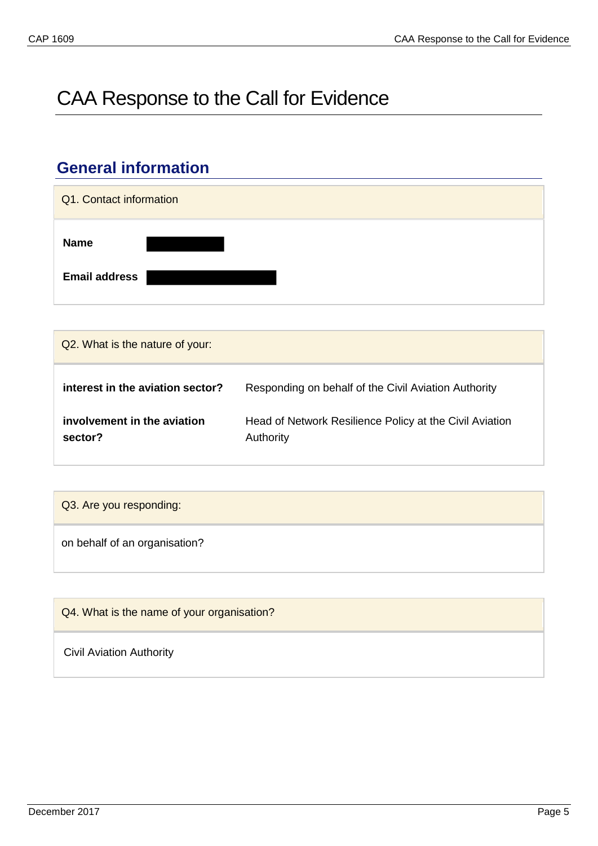# <span id="page-4-0"></span>CAA Response to the Call for Evidence

### <span id="page-4-1"></span>**General information**



| Q2. What is the nature of your:        |                                                                      |
|----------------------------------------|----------------------------------------------------------------------|
| interest in the aviation sector?       | Responding on behalf of the Civil Aviation Authority                 |
| involvement in the aviation<br>sector? | Head of Network Resilience Policy at the Civil Aviation<br>Authority |

| Q3. Are you responding:       |  |
|-------------------------------|--|
| on behalf of an organisation? |  |

| Q4. What is the name of your organisation? |  |
|--------------------------------------------|--|
| <b>Civil Aviation Authority</b>            |  |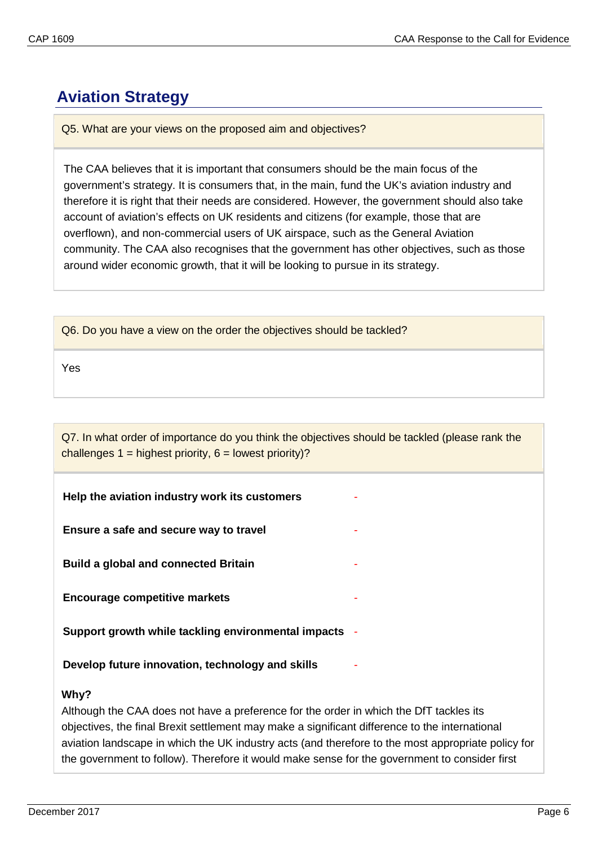### <span id="page-5-0"></span>**Aviation Strategy**

Q5. What are your views on the proposed aim and objectives?

The CAA believes that it is important that consumers should be the main focus of the government's strategy. It is consumers that, in the main, fund the UK's aviation industry and therefore it is right that their needs are considered. However, the government should also take account of aviation's effects on UK residents and citizens (for example, those that are overflown), and non-commercial users of UK airspace, such as the General Aviation community. The CAA also recognises that the government has other objectives, such as those around wider economic growth, that it will be looking to pursue in its strategy.

Yes

Q7. In what order of importance do you think the objectives should be tackled (please rank the challenges  $1 =$  highest priority,  $6 =$  lowest priority)?

**Help the aviation industry work its customers** *-*

**Ensure a safe and secure way to travel** *-*

**Build a global and connected Britain** *-*

**Encourage competitive markets** *-*

**Support growth while tackling environmental impacts** *-*

**Develop future innovation, technology and skills** *-*

#### **Why?**

Although the CAA does not have a preference for the order in which the DfT tackles its objectives, the final Brexit settlement may make a significant difference to the international aviation landscape in which the UK industry acts (and therefore to the most appropriate policy for the government to follow). Therefore it would make sense for the government to consider first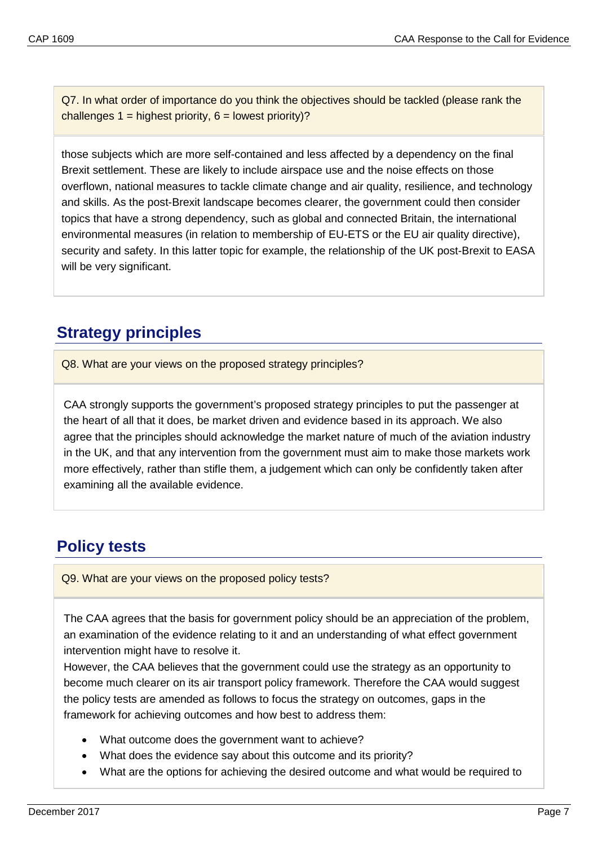Q7. In what order of importance do you think the objectives should be tackled (please rank the challenges  $1 =$  highest priority,  $6 =$  lowest priority)?

those subjects which are more self-contained and less affected by a dependency on the final Brexit settlement. These are likely to include airspace use and the noise effects on those overflown, national measures to tackle climate change and air quality, resilience, and technology and skills. As the post-Brexit landscape becomes clearer, the government could then consider topics that have a strong dependency, such as global and connected Britain, the international environmental measures (in relation to membership of EU-ETS or the EU air quality directive), security and safety. In this latter topic for example, the relationship of the UK post-Brexit to EASA will be very significant.

### <span id="page-6-0"></span>**Strategy principles**

Q8. What are your views on the proposed strategy principles?

CAA strongly supports the government's proposed strategy principles to put the passenger at the heart of all that it does, be market driven and evidence based in its approach. We also agree that the principles should acknowledge the market nature of much of the aviation industry in the UK, and that any intervention from the government must aim to make those markets work more effectively, rather than stifle them, a judgement which can only be confidently taken after examining all the available evidence.

### <span id="page-6-1"></span>**Policy tests**

Q9. What are your views on the proposed policy tests?

The CAA agrees that the basis for government policy should be an appreciation of the problem, an examination of the evidence relating to it and an understanding of what effect government intervention might have to resolve it.

However, the CAA believes that the government could use the strategy as an opportunity to become much clearer on its air transport policy framework. Therefore the CAA would suggest the policy tests are amended as follows to focus the strategy on outcomes, gaps in the framework for achieving outcomes and how best to address them:

- What outcome does the government want to achieve?
- What does the evidence say about this outcome and its priority?
- What are the options for achieving the desired outcome and what would be required to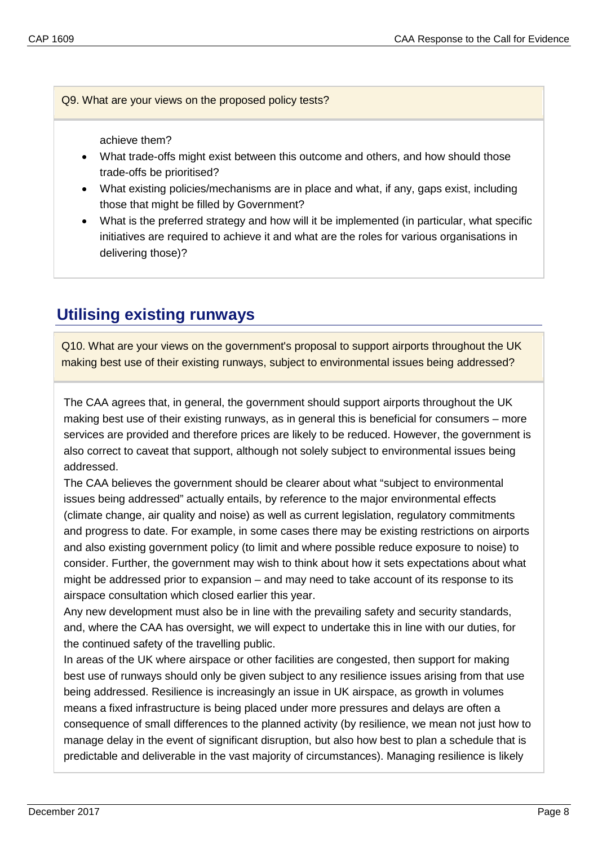Q9. What are your views on the proposed policy tests?

achieve them?

- What trade-offs might exist between this outcome and others, and how should those trade-offs be prioritised?
- What existing policies/mechanisms are in place and what, if any, gaps exist, including those that might be filled by Government?
- What is the preferred strategy and how will it be implemented (in particular, what specific initiatives are required to achieve it and what are the roles for various organisations in delivering those)?

### <span id="page-7-0"></span>**Utilising existing runways**

Q10. What are your views on the government's proposal to support airports throughout the UK making best use of their existing runways, subject to environmental issues being addressed?

The CAA agrees that, in general, the government should support airports throughout the UK making best use of their existing runways, as in general this is beneficial for consumers – more services are provided and therefore prices are likely to be reduced. However, the government is also correct to caveat that support, although not solely subject to environmental issues being addressed.

The CAA believes the government should be clearer about what "subject to environmental issues being addressed" actually entails, by reference to the major environmental effects (climate change, air quality and noise) as well as current legislation, regulatory commitments and progress to date. For example, in some cases there may be existing restrictions on airports and also existing government policy (to limit and where possible reduce exposure to noise) to consider. Further, the government may wish to think about how it sets expectations about what might be addressed prior to expansion – and may need to take account of its response to its airspace consultation which closed earlier this year.

Any new development must also be in line with the prevailing safety and security standards, and, where the CAA has oversight, we will expect to undertake this in line with our duties, for the continued safety of the travelling public.

In areas of the UK where airspace or other facilities are congested, then support for making best use of runways should only be given subject to any resilience issues arising from that use being addressed. Resilience is increasingly an issue in UK airspace, as growth in volumes means a fixed infrastructure is being placed under more pressures and delays are often a consequence of small differences to the planned activity (by resilience, we mean not just how to manage delay in the event of significant disruption, but also how best to plan a schedule that is predictable and deliverable in the vast majority of circumstances). Managing resilience is likely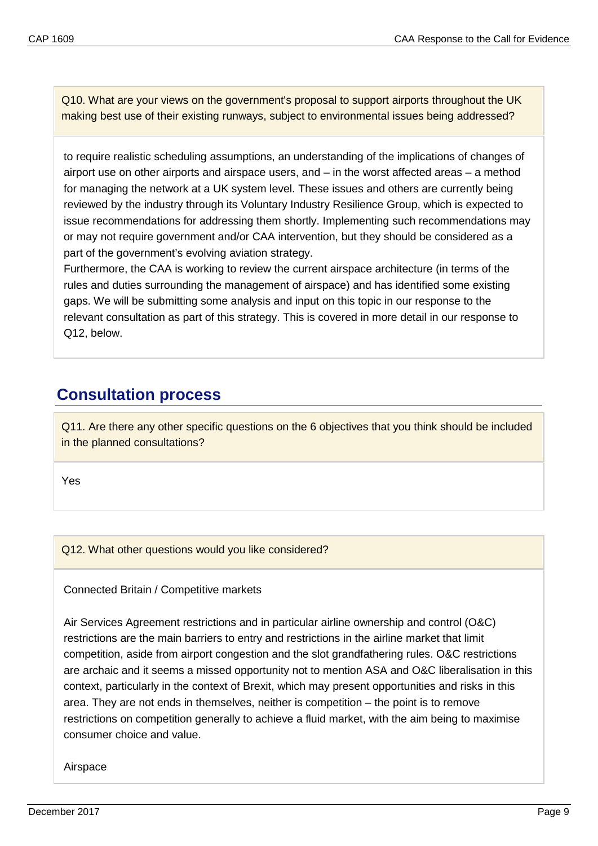Q10. What are your views on the government's proposal to support airports throughout the UK making best use of their existing runways, subject to environmental issues being addressed?

to require realistic scheduling assumptions, an understanding of the implications of changes of airport use on other airports and airspace users, and – in the worst affected areas – a method for managing the network at a UK system level. These issues and others are currently being reviewed by the industry through its Voluntary Industry Resilience Group, which is expected to issue recommendations for addressing them shortly. Implementing such recommendations may or may not require government and/or CAA intervention, but they should be considered as a part of the government's evolving aviation strategy.

Furthermore, the CAA is working to review the current airspace architecture (in terms of the rules and duties surrounding the management of airspace) and has identified some existing gaps. We will be submitting some analysis and input on this topic in our response to the relevant consultation as part of this strategy. This is covered in more detail in our response to Q12, below.

### <span id="page-8-0"></span>**Consultation process**

Q11. Are there any other specific questions on the 6 objectives that you think should be included in the planned consultations?

Yes

Q12. What other questions would you like considered?

#### Connected Britain / Competitive markets

Air Services Agreement restrictions and in particular airline ownership and control (O&C) restrictions are the main barriers to entry and restrictions in the airline market that limit competition, aside from airport congestion and the slot grandfathering rules. O&C restrictions are archaic and it seems a missed opportunity not to mention ASA and O&C liberalisation in this context, particularly in the context of Brexit, which may present opportunities and risks in this area. They are not ends in themselves, neither is competition – the point is to remove restrictions on competition generally to achieve a fluid market, with the aim being to maximise consumer choice and value.

Airspace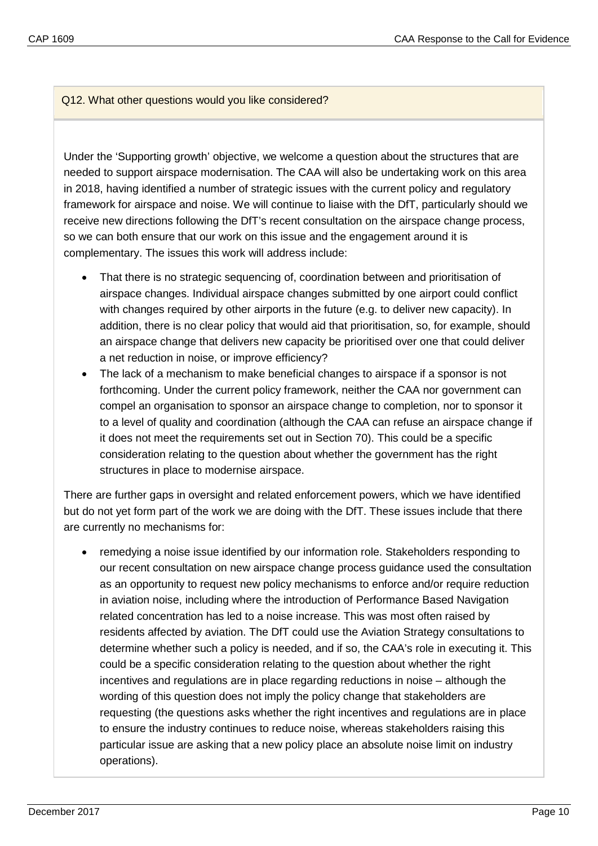Under the 'Supporting growth' objective, we welcome a question about the structures that are needed to support airspace modernisation. The CAA will also be undertaking work on this area in 2018, having identified a number of strategic issues with the current policy and regulatory framework for airspace and noise. We will continue to liaise with the DfT, particularly should we receive new directions following the DfT's recent consultation on the airspace change process, so we can both ensure that our work on this issue and the engagement around it is complementary. The issues this work will address include:

- That there is no strategic sequencing of, coordination between and prioritisation of airspace changes. Individual airspace changes submitted by one airport could conflict with changes required by other airports in the future (e.g. to deliver new capacity). In addition, there is no clear policy that would aid that prioritisation, so, for example, should an airspace change that delivers new capacity be prioritised over one that could deliver a net reduction in noise, or improve efficiency?
- The lack of a mechanism to make beneficial changes to airspace if a sponsor is not forthcoming. Under the current policy framework, neither the CAA nor government can compel an organisation to sponsor an airspace change to completion, nor to sponsor it to a level of quality and coordination (although the CAA can refuse an airspace change if it does not meet the requirements set out in Section 70). This could be a specific consideration relating to the question about whether the government has the right structures in place to modernise airspace.

There are further gaps in oversight and related enforcement powers, which we have identified but do not yet form part of the work we are doing with the DfT. These issues include that there are currently no mechanisms for:

• remedying a noise issue identified by our information role. Stakeholders responding to our recent consultation on new airspace change process guidance used the consultation as an opportunity to request new policy mechanisms to enforce and/or require reduction in aviation noise, including where the introduction of Performance Based Navigation related concentration has led to a noise increase. This was most often raised by residents affected by aviation. The DfT could use the Aviation Strategy consultations to determine whether such a policy is needed, and if so, the CAA's role in executing it. This could be a specific consideration relating to the question about whether the right incentives and regulations are in place regarding reductions in noise – although the wording of this question does not imply the policy change that stakeholders are requesting (the questions asks whether the right incentives and regulations are in place to ensure the industry continues to reduce noise, whereas stakeholders raising this particular issue are asking that a new policy place an absolute noise limit on industry operations).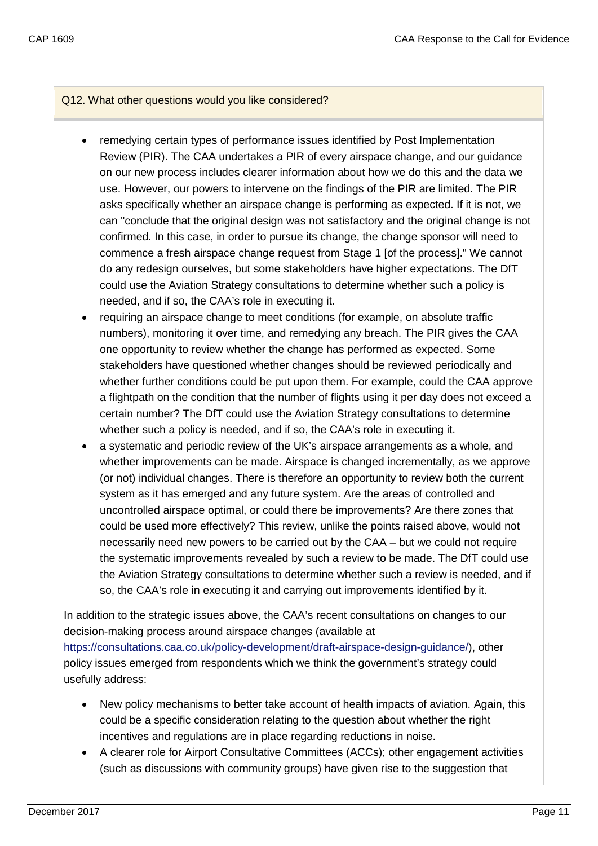- remedying certain types of performance issues identified by Post Implementation Review (PIR). The CAA undertakes a PIR of every airspace change, and our guidance on our new process includes clearer information about how we do this and the data we use. However, our powers to intervene on the findings of the PIR are limited. The PIR asks specifically whether an airspace change is performing as expected. If it is not, we can "conclude that the original design was not satisfactory and the original change is not confirmed. In this case, in order to pursue its change, the change sponsor will need to commence a fresh airspace change request from Stage 1 [of the process]." We cannot do any redesign ourselves, but some stakeholders have higher expectations. The DfT could use the Aviation Strategy consultations to determine whether such a policy is needed, and if so, the CAA's role in executing it.
- requiring an airspace change to meet conditions (for example, on absolute traffic numbers), monitoring it over time, and remedying any breach. The PIR gives the CAA one opportunity to review whether the change has performed as expected. Some stakeholders have questioned whether changes should be reviewed periodically and whether further conditions could be put upon them. For example, could the CAA approve a flightpath on the condition that the number of flights using it per day does not exceed a certain number? The DfT could use the Aviation Strategy consultations to determine whether such a policy is needed, and if so, the CAA's role in executing it.
- a systematic and periodic review of the UK's airspace arrangements as a whole, and whether improvements can be made. Airspace is changed incrementally, as we approve (or not) individual changes. There is therefore an opportunity to review both the current system as it has emerged and any future system. Are the areas of controlled and uncontrolled airspace optimal, or could there be improvements? Are there zones that could be used more effectively? This review, unlike the points raised above, would not necessarily need new powers to be carried out by the CAA – but we could not require the systematic improvements revealed by such a review to be made. The DfT could use the Aviation Strategy consultations to determine whether such a review is needed, and if so, the CAA's role in executing it and carrying out improvements identified by it.

In addition to the strategic issues above, the CAA's recent consultations on changes to our decision-making process around airspace changes (available at [https://consultations.caa.co.uk/policy-development/draft-airspace-design-guidance/\)](https://consultations.caa.co.uk/policy-development/draft-airspace-design-guidance/), other policy issues emerged from respondents which we think the government's strategy could usefully address:

- New policy mechanisms to better take account of health impacts of aviation. Again, this could be a specific consideration relating to the question about whether the right incentives and regulations are in place regarding reductions in noise.
- A clearer role for Airport Consultative Committees (ACCs); other engagement activities (such as discussions with community groups) have given rise to the suggestion that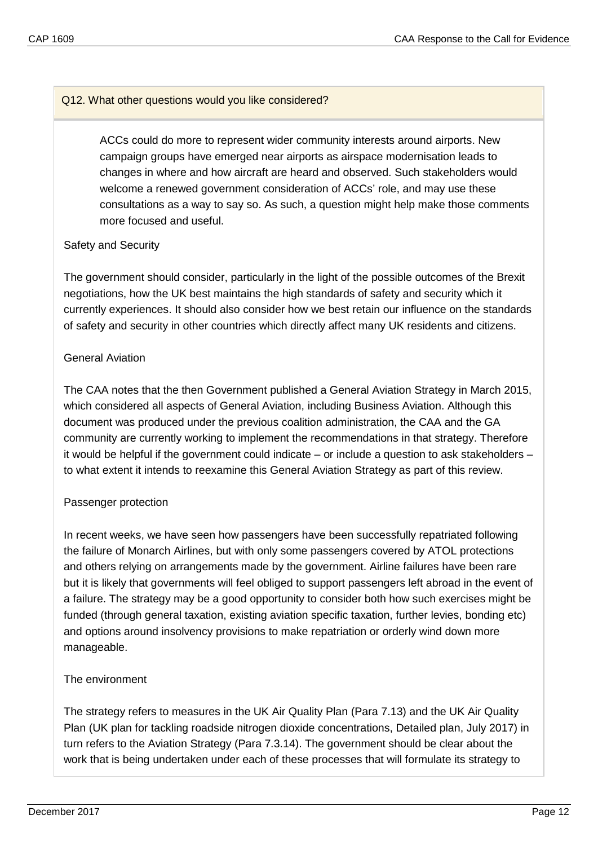ACCs could do more to represent wider community interests around airports. New campaign groups have emerged near airports as airspace modernisation leads to changes in where and how aircraft are heard and observed. Such stakeholders would welcome a renewed government consideration of ACCs' role, and may use these consultations as a way to say so. As such, a question might help make those comments more focused and useful.

#### Safety and Security

The government should consider, particularly in the light of the possible outcomes of the Brexit negotiations, how the UK best maintains the high standards of safety and security which it currently experiences. It should also consider how we best retain our influence on the standards of safety and security in other countries which directly affect many UK residents and citizens.

#### General Aviation

The CAA notes that the then Government published a General Aviation Strategy in March 2015, which considered all aspects of General Aviation, including Business Aviation. Although this document was produced under the previous coalition administration, the CAA and the GA community are currently working to implement the recommendations in that strategy. Therefore it would be helpful if the government could indicate – or include a question to ask stakeholders – to what extent it intends to reexamine this General Aviation Strategy as part of this review.

#### Passenger protection

In recent weeks, we have seen how passengers have been successfully repatriated following the failure of Monarch Airlines, but with only some passengers covered by ATOL protections and others relying on arrangements made by the government. Airline failures have been rare but it is likely that governments will feel obliged to support passengers left abroad in the event of a failure. The strategy may be a good opportunity to consider both how such exercises might be funded (through general taxation, existing aviation specific taxation, further levies, bonding etc) and options around insolvency provisions to make repatriation or orderly wind down more manageable.

#### The environment

The strategy refers to measures in the UK Air Quality Plan (Para 7.13) and the UK Air Quality Plan (UK plan for tackling roadside nitrogen dioxide concentrations, Detailed plan, July 2017) in turn refers to the Aviation Strategy (Para 7.3.14). The government should be clear about the work that is being undertaken under each of these processes that will formulate its strategy to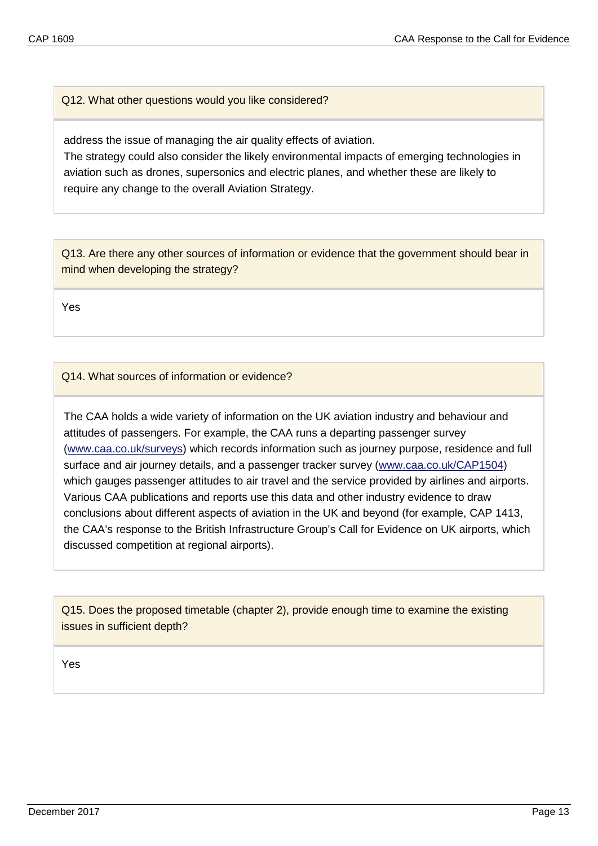address the issue of managing the air quality effects of aviation.

The strategy could also consider the likely environmental impacts of emerging technologies in aviation such as drones, supersonics and electric planes, and whether these are likely to require any change to the overall Aviation Strategy.

Q13. Are there any other sources of information or evidence that the government should bear in mind when developing the strategy?

Yes

Q14. What sources of information or evidence?

The CAA holds a wide variety of information on the UK aviation industry and behaviour and attitudes of passengers. For example, the CAA runs a departing passenger survey [\(www.caa.co.uk/surveys\)](http://www.caa.co.uk/surveys) which records information such as journey purpose, residence and full surface and air journey details, and a passenger tracker survey [\(www.caa.co.uk/CAP1504\)](http://www.caa.co.uk/CAP1504) which gauges passenger attitudes to air travel and the service provided by airlines and airports. Various CAA publications and reports use this data and other industry evidence to draw conclusions about different aspects of aviation in the UK and beyond (for example, CAP 1413, the CAA's response to the British Infrastructure Group's Call for Evidence on UK airports, which discussed competition at regional airports).

Q15. Does the proposed timetable (chapter 2), provide enough time to examine the existing issues in sufficient depth?

Yes